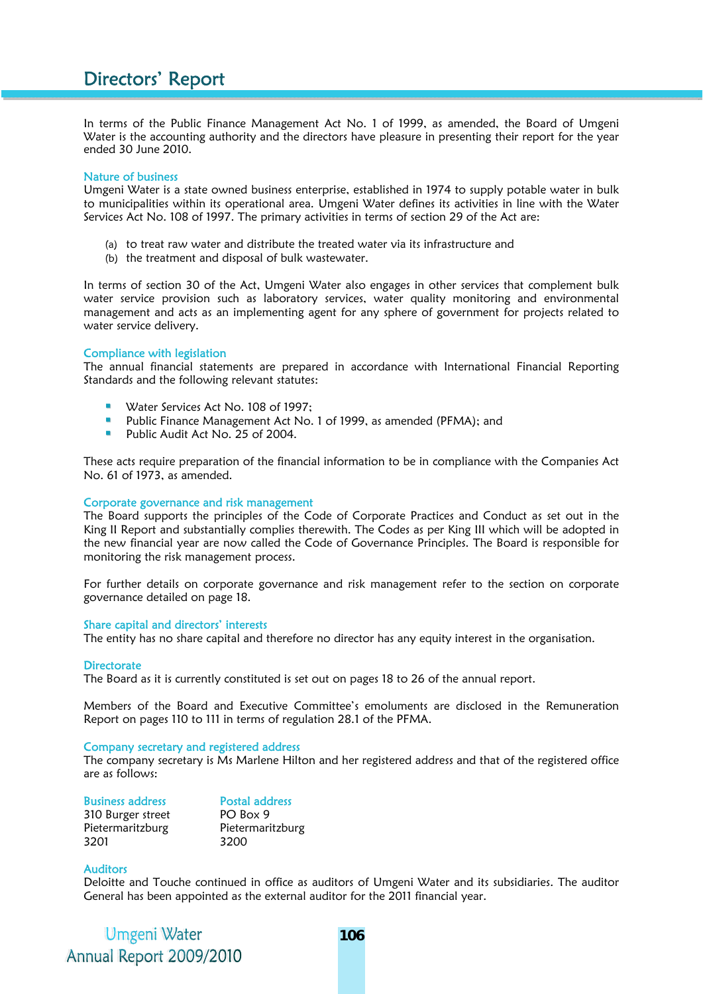In terms of the Public Finance Management Act No. 1 of 1999, as amended, the Board of Umgeni Water is the accounting authority and the directors have pleasure in presenting their report for the year ended 30 June 2010.

### Nature of business

Umgeni Water is a state owned business enterprise, established in 1974 to supply potable water in bulk to municipalities within its operational area. Umgeni Water defines its activities in line with the Water Services Act No. 108 of 1997. The primary activities in terms of section 29 of the Act are:

- (a) to treat raw water and distribute the treated water via its infrastructure and
- (b) the treatment and disposal of bulk wastewater.

In terms of section 30 of the Act, Umgeni Water also engages in other services that complement bulk water service provision such as laboratory services, water quality monitoring and environmental management and acts as an implementing agent for any sphere of government for projects related to water service delivery.

# Compliance with legislation

The annual financial statements are prepared in accordance with International Financial Reporting Standards and the following relevant statutes:

- **Water Services Act No. 108 of 1997;**
- **Public Finance Management Act No. 1 of 1999, as amended (PFMA); and**
- Public Audit Act No. 25 of 2004.

These acts require preparation of the financial information to be in compliance with the Companies Act No. 61 of 1973, as amended.

### Corporate governance and risk management

The Board supports the principles of the Code of Corporate Practices and Conduct as set out in the King II Report and substantially complies therewith. The Codes as per King III which will be adopted in the new financial year are now called the Code of Governance Principles. The Board is responsible for monitoring the risk management process.

For further details on corporate governance and risk management refer to the section on corporate governance detailed on page 18.

### Share capital and directors' interests

The entity has no share capital and therefore no director has any equity interest in the organisation.

### **Directorate**

The Board as it is currently constituted is set out on pages 18 to 26 of the annual report.

Members of the Board and Executive Committee's emoluments are disclosed in the Remuneration Report on pages 110 to 111 in terms of regulation 28.1 of the PFMA.

## Company secretary and registered address

The company secretary is Ms Marlene Hilton and her registered address and that of the registered office are as follows:

| <b>Business address</b> | <b>Postal address</b> |
|-------------------------|-----------------------|
| 310 Burger street       | PO Box 9              |
| Pietermaritzburg        | Pietermaritzburg      |
| 3201                    | 3200                  |

## **Auditors**

Deloitte and Touche continued in office as auditors of Umgeni Water and its subsidiaries. The auditor General has been appointed as the external auditor for the 2011 financial year.

Umgeni Water Annual Report 2009/2010 **106**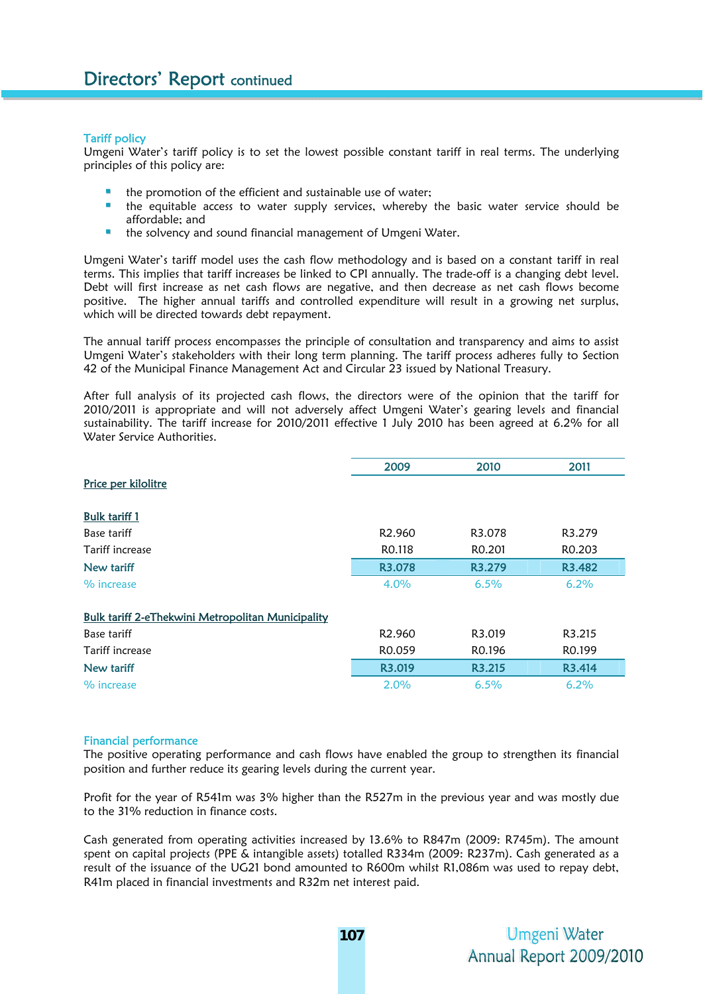## Tariff policy

Umgeni Water's tariff policy is to set the lowest possible constant tariff in real terms. The underlying principles of this policy are:

- the promotion of the efficient and sustainable use of water;
- the equitable access to water supply services, whereby the basic water service should be affordable; and
- the solvency and sound financial management of Umgeni Water.

Umgeni Water's tariff model uses the cash flow methodology and is based on a constant tariff in real terms. This implies that tariff increases be linked to CPI annually. The trade-off is a changing debt level. Debt will first increase as net cash flows are negative, and then decrease as net cash flows become positive. The higher annual tariffs and controlled expenditure will result in a growing net surplus, which will be directed towards debt repayment.

The annual tariff process encompasses the principle of consultation and transparency and aims to assist Umgeni Water's stakeholders with their long term planning. The tariff process adheres fully to Section 42 of the Municipal Finance Management Act and Circular 23 issued by National Treasury.

After full analysis of its projected cash flows, the directors were of the opinion that the tariff for 2010/2011 is appropriate and will not adversely affect Umgeni Water's gearing levels and financial sustainability. The tariff increase for 2010/2011 effective 1 July 2010 has been agreed at 6.2% for all Water Service Authorities.

|                                                          | 2009               | 2010               | 2011               |
|----------------------------------------------------------|--------------------|--------------------|--------------------|
| Price per kilolitre                                      |                    |                    |                    |
|                                                          |                    |                    |                    |
| <b>Bulk tariff 1</b>                                     |                    |                    |                    |
| Base tariff                                              | R <sub>2.960</sub> | R3.078             | R3.279             |
| Tariff increase                                          | RO.118             | R <sub>0.201</sub> | R <sub>0.203</sub> |
| New tariff                                               | R3.078             | R3.279             | R3.482             |
| % increase                                               | $4.0\%$            | 6.5%               | 6.2%               |
| <b>Bulk tariff 2-eThekwini Metropolitan Municipality</b> |                    |                    |                    |
| Base tariff                                              | R <sub>2.960</sub> | R3.019             | R3.215             |
| Tariff increase                                          | RO.059             | RO.196             | RO.199             |
| New tariff                                               | R3.019             | R3.215             | R3.414             |
| % increase                                               | 2.0%               | 6.5%               | 6.2%               |

## Financial performance

The positive operating performance and cash flows have enabled the group to strengthen its financial position and further reduce its gearing levels during the current year.

Profit for the year of R541m was 3% higher than the R527m in the previous year and was mostly due to the 31% reduction in finance costs.

Cash generated from operating activities increased by 13.6% to R847m (2009: R745m). The amount spent on capital projects (PPE & intangible assets) totalled R334m (2009: R237m). Cash generated as a result of the issuance of the UG21 bond amounted to R600m whilst R1,086m was used to repay debt, R41m placed in financial investments and R32m net interest paid.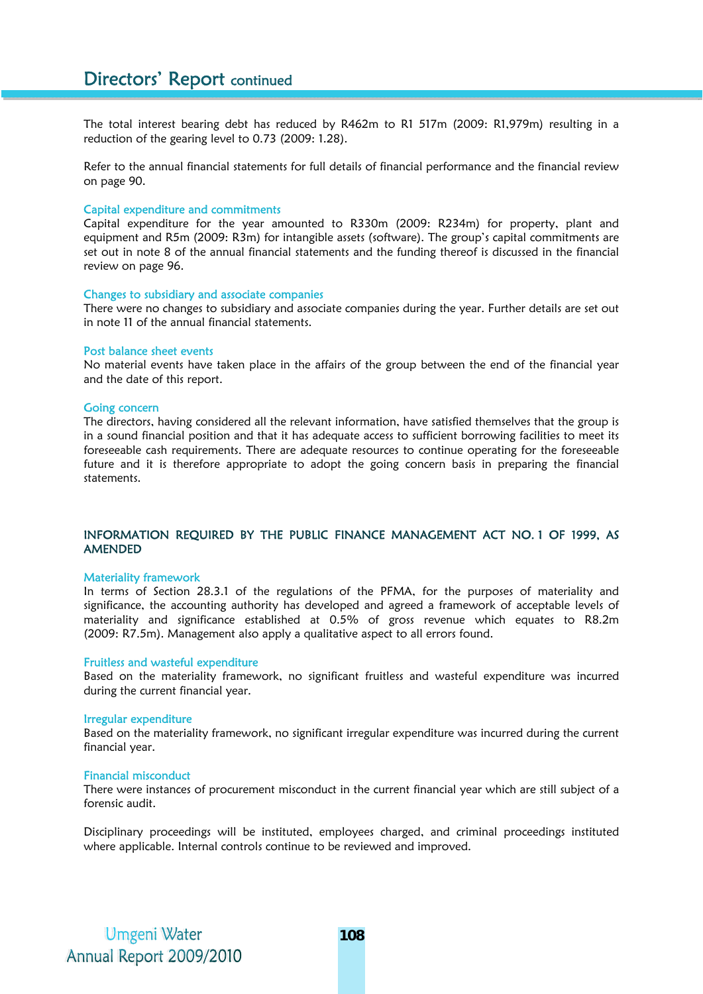The total interest bearing debt has reduced by R462m to R1 517m (2009: R1,979m) resulting in a reduction of the gearing level to 0.73 (2009: 1.28).

Refer to the annual financial statements for full details of financial performance and the financial review on page 90.

### Capital expenditure and commitments

Capital expenditure for the year amounted to R330m (2009: R234m) for property, plant and equipment and R5m (2009: R3m) for intangible assets (software). The group's capital commitments are set out in note 8 of the annual financial statements and the funding thereof is discussed in the financial review on page 96.

### Changes to subsidiary and associate companies

There were no changes to subsidiary and associate companies during the year. Further details are set out in note 11 of the annual financial statements.

### Post balance sheet events

No material events have taken place in the affairs of the group between the end of the financial year and the date of this report.

## Going concern

The directors, having considered all the relevant information, have satisfied themselves that the group is in a sound financial position and that it has adequate access to sufficient borrowing facilities to meet its foreseeable cash requirements. There are adequate resources to continue operating for the foreseeable future and it is therefore appropriate to adopt the going concern basis in preparing the financial statements.

# INFORMATION REQUIRED BY THE PUBLIC FINANCE MANAGEMENT ACT NO. 1 OF 1999, AS AMENDED

#### Materiality framework

In terms of Section 28.3.1 of the regulations of the PFMA, for the purposes of materiality and significance, the accounting authority has developed and agreed a framework of acceptable levels of materiality and significance established at 0.5% of gross revenue which equates to R8.2m (2009: R7.5m). Management also apply a qualitative aspect to all errors found.

#### Fruitless and wasteful expenditure

Based on the materiality framework, no significant fruitless and wasteful expenditure was incurred during the current financial year.

### Irregular expenditure

Based on the materiality framework, no significant irregular expenditure was incurred during the current financial year.

### Financial misconduct

There were instances of procurement misconduct in the current financial year which are still subject of a forensic audit.

Disciplinary proceedings will be instituted, employees charged, and criminal proceedings instituted where applicable. Internal controls continue to be reviewed and improved.

Umgeni Water Annual Report 2009/2010